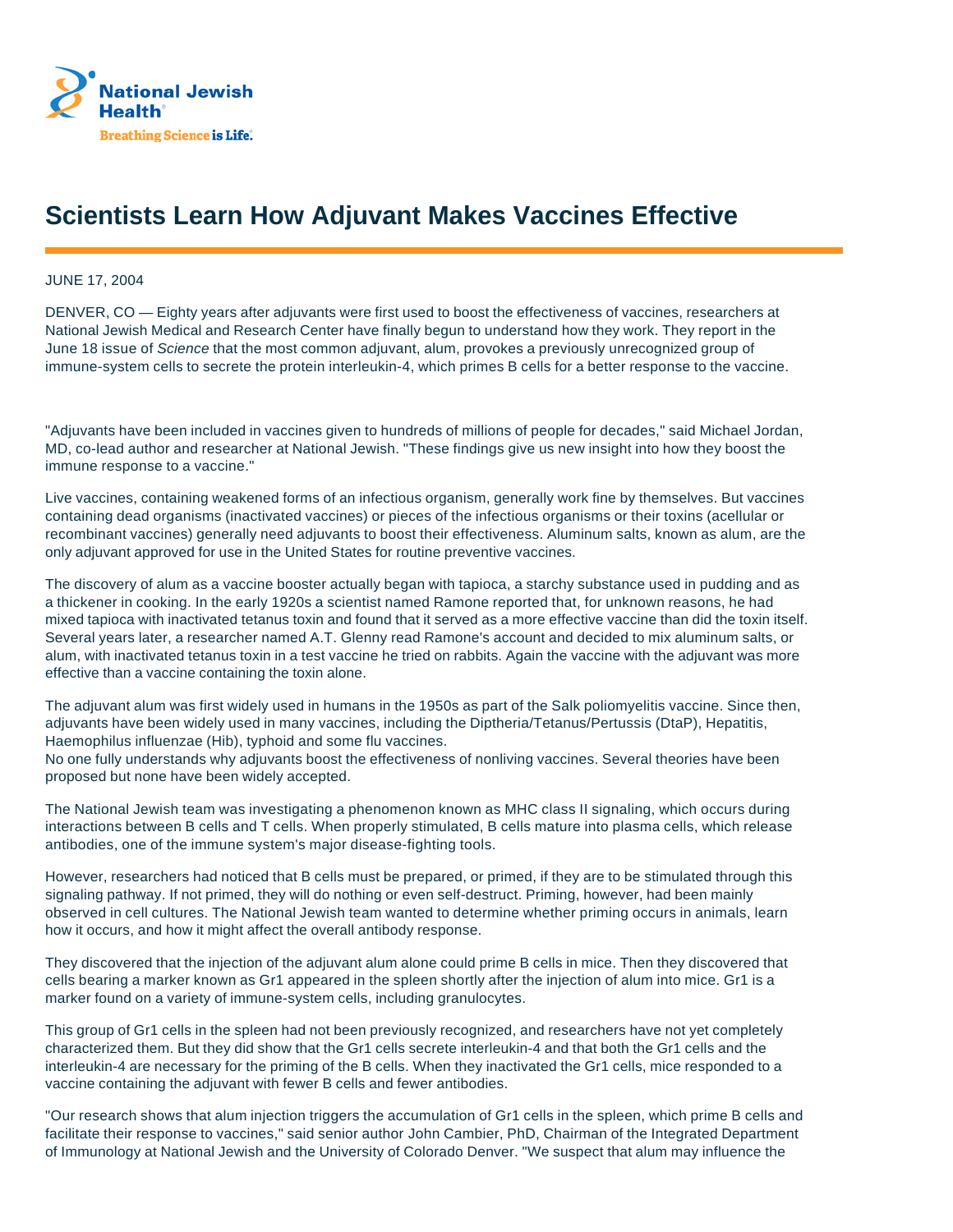

## **Scientists Learn How Adjuvant Makes Vaccines Effective**

JUNE 17, 2004

DENVER, CO — Eighty years after adjuvants were first used to boost the effectiveness of vaccines, researchers at National Jewish Medical and Research Center have finally begun to understand how they work. They report in the June 18 issue of Science that the most common adjuvant, alum, provokes a previously unrecognized group of immune-system cells to secrete the protein interleukin-4, which primes B cells for a better response to the vaccine.

"Adjuvants have been included in vaccines given to hundreds of millions of people for decades," said Michael Jordan, MD, co-lead author and researcher at National Jewish. "These findings give us new insight into how they boost the immune response to a vaccine."

Live vaccines, containing weakened forms of an infectious organism, generally work fine by themselves. But vaccines containing dead organisms (inactivated vaccines) or pieces of the infectious organisms or their toxins (acellular or recombinant vaccines) generally need adjuvants to boost their effectiveness. Aluminum salts, known as alum, are the only adjuvant approved for use in the United States for routine preventive vaccines.

The discovery of alum as a vaccine booster actually began with tapioca, a starchy substance used in pudding and as a thickener in cooking. In the early 1920s a scientist named Ramone reported that, for unknown reasons, he had mixed tapioca with inactivated tetanus toxin and found that it served as a more effective vaccine than did the toxin itself. Several years later, a researcher named A.T. Glenny read Ramone's account and decided to mix aluminum salts, or alum, with inactivated tetanus toxin in a test vaccine he tried on rabbits. Again the vaccine with the adjuvant was more effective than a vaccine containing the toxin alone.

The adjuvant alum was first widely used in humans in the 1950s as part of the Salk poliomyelitis vaccine. Since then, adjuvants have been widely used in many vaccines, including the Diptheria/Tetanus/Pertussis (DtaP), Hepatitis, Haemophilus influenzae (Hib), typhoid and some flu vaccines.

No one fully understands why adjuvants boost the effectiveness of nonliving vaccines. Several theories have been proposed but none have been widely accepted.

The National Jewish team was investigating a phenomenon known as MHC class II signaling, which occurs during interactions between B cells and T cells. When properly stimulated, B cells mature into plasma cells, which release antibodies, one of the immune system's major disease-fighting tools.

However, researchers had noticed that B cells must be prepared, or primed, if they are to be stimulated through this signaling pathway. If not primed, they will do nothing or even self-destruct. Priming, however, had been mainly observed in cell cultures. The National Jewish team wanted to determine whether priming occurs in animals, learn how it occurs, and how it might affect the overall antibody response.

They discovered that the injection of the adjuvant alum alone could prime B cells in mice. Then they discovered that cells bearing a marker known as Gr1 appeared in the spleen shortly after the injection of alum into mice. Gr1 is a marker found on a variety of immune-system cells, including granulocytes.

This group of Gr1 cells in the spleen had not been previously recognized, and researchers have not yet completely characterized them. But they did show that the Gr1 cells secrete interleukin-4 and that both the Gr1 cells and the interleukin-4 are necessary for the priming of the B cells. When they inactivated the Gr1 cells, mice responded to a vaccine containing the adjuvant with fewer B cells and fewer antibodies.

"Our research shows that alum injection triggers the accumulation of Gr1 cells in the spleen, which prime B cells and facilitate their response to vaccines," said senior author John Cambier, PhD, Chairman of the Integrated Department of Immunology at National Jewish and the University of Colorado Denver. "We suspect that alum may influence the